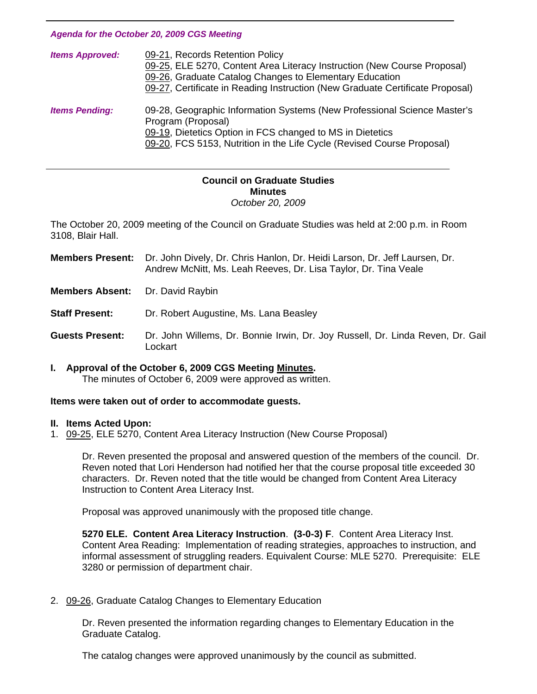*Agenda for the October 20, 2009 CGS Meeting* 

| <b>Items Approved:</b> | 09-21, Records Retention Policy<br>09-25, ELE 5270, Content Area Literacy Instruction (New Course Proposal)<br>09-26, Graduate Catalog Changes to Elementary Education<br>09-27, Certificate in Reading Instruction (New Graduate Certificate Proposal) |
|------------------------|---------------------------------------------------------------------------------------------------------------------------------------------------------------------------------------------------------------------------------------------------------|
| <b>Items Pending:</b>  | 09-28, Geographic Information Systems (New Professional Science Master's<br>Program (Proposal)<br>09-19, Dietetics Option in FCS changed to MS in Dietetics<br>09-20, FCS 5153, Nutrition in the Life Cycle (Revised Course Proposal)                   |

#### **Council on Graduate Studies Minutes**  *October 20, 2009*

The October 20, 2009 meeting of the Council on Graduate Studies was held at 2:00 p.m. in Room 3108, Blair Hall.

**Members Present:** Dr. John Dively, Dr. Chris Hanlon, Dr. Heidi Larson, Dr. Jeff Laursen, Dr. Andrew McNitt, Ms. Leah Reeves, Dr. Lisa Taylor, Dr. Tina Veale

**Members Absent:** Dr. David Raybin

j

**Staff Present:** Dr. Robert Augustine, Ms. Lana Beasley

**Guests Present:** Dr. John Willems, Dr. Bonnie Irwin, Dr. Joy Russell, Dr. Linda Reven, Dr. Gail **Lockart** 

# **I. Approval of the October 6, 2009 CGS Meeting [Minutes.](http://www.eiu.edu/~eiucgs/currentminutes/Minutes10-06-09.pdf)**

The minutes of October 6, 2009 were approved as written.

#### **Items were taken out of order to accommodate guests.**

#### **II. Items Acted Upon:**

1. [09-25, E](http://www.eiu.edu/~eiucgs/currentagendaitems/agenda09-25.pdf)LE 5270, Content Area Literacy Instruction (New Course Proposal)

Dr. Reven presented the proposal and answered question of the members of the council. Dr. Reven noted that Lori Henderson had notified her that the course proposal title exceeded 30 characters. Dr. Reven noted that the title would be changed from Content Area Literacy Instruction to Content Area Literacy Inst.

Proposal was approved unanimously with the proposed title change.

**5270 ELE. Content Area Literacy Instruction**. **(3-0-3) F**. Content Area Literacy Inst. Content Area Reading: Implementation of reading strategies, approaches to instruction, and informal assessment of struggling readers. Equivalent Course: MLE 5270. Prerequisite: ELE 3280 or permission of department chair.

2. [09-26, G](http://www.eiu.edu/~eiucgs/currentagendaitems/agenda09-26.pdf)raduate Catalog Changes to Elementary Education

 Dr. Reven presented the information regarding changes to Elementary Education in the Graduate Catalog.

The catalog changes were approved unanimously by the council as submitted.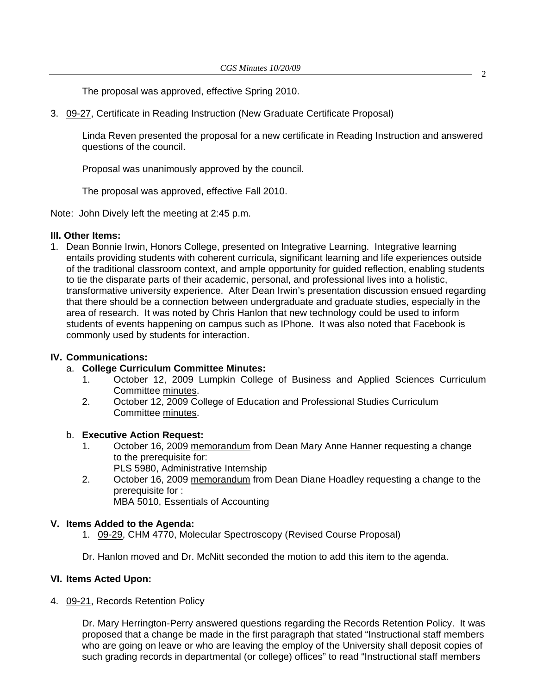The proposal was approved, effective Spring 2010.

3. [09-27, C](http://www.eiu.edu/~eiucgs/currentagendaitems/agenda09-27.pdf)ertificate in Reading Instruction (New Graduate Certificate Proposal)

 Linda Reven presented the proposal for a new certificate in Reading Instruction and answered questions of the council.

Proposal was unanimously approved by the council.

The proposal was approved, effective Fall 2010.

Note: John Dively left the meeting at 2:45 p.m.

# **III. Other Items:**

1. Dean Bonnie Irwin, Honors College, presented on Integrative Learning. Integrative learning entails providing students with coherent curricula, significant learning and life experiences outside of the traditional classroom context, and ample opportunity for guided reflection, enabling students to tie the disparate parts of their academic, personal, and professional lives into a holistic, transformative university experience. After Dean Irwin's presentation discussion ensued regarding that there should be a connection between undergraduate and graduate studies, especially in the area of research. It was noted by Chris Hanlon that new technology could be used to inform students of events happening on campus such as IPhone. It was also noted that Facebook is commonly used by students for interaction.

# **IV. Communications:**

- a. **College Curriculum Committee Minutes:**
	- 1. October 12, 2009 Lumpkin College of Business and Applied Sciences Curriculum Committee [minutes.](http://www.eiu.edu/~eiucgs/currentagendaitems/LCBASMin10-12-09.pdf)
	- 2. October 12, 2009 College of Education and Professional Studies Curriculum Committee [minutes.](http://www.eiu.edu/~eiucgs/currentagendaitems/CEPSMin10-12-09.pdf)

# b. **Executive Action Request:**

- 1. October 16, 2009 [memorandum fro](http://www.eiu.edu/~eiucgs/currentagendaitems/COS-Exec-Act-10-16-09.pdf)m Dean Mary Anne Hanner requesting a change to the prerequisite for:
	- PLS 5980, Administrative Internship
- 2. October 16, 2009 [memorandum from](http://www.eiu.edu/~eiucgs/currentagendaitems/LCBAS-Exec-Act-10-16-09.pdf) Dean Diane Hoadley requesting a change to the prerequisite for : MBA 5010, Essentials of Accounting

# **V. Items Added to the Agenda:**

- 1. [09-29,](http://www.eiu.edu/~eiucgs/currentagendaitems/agenda09-29.pdf) CHM 4770, Molecular Spectroscopy (Revised Course Proposal)
- Dr. Hanlon moved and Dr. McNitt seconded the motion to add this item to the agenda.

# **VI. Items Acted Upon:**

4. [09-21,](http://www.eiu.edu/~eiucgs/currentagendaitems/agenda09-21.pdf) Records Retention Policy

Dr. Mary Herrington-Perry answered questions regarding the Records Retention Policy. It was proposed that a change be made in the first paragraph that stated "Instructional staff members who are going on leave or who are leaving the employ of the University shall deposit copies of such grading records in departmental (or college) offices" to read "Instructional staff members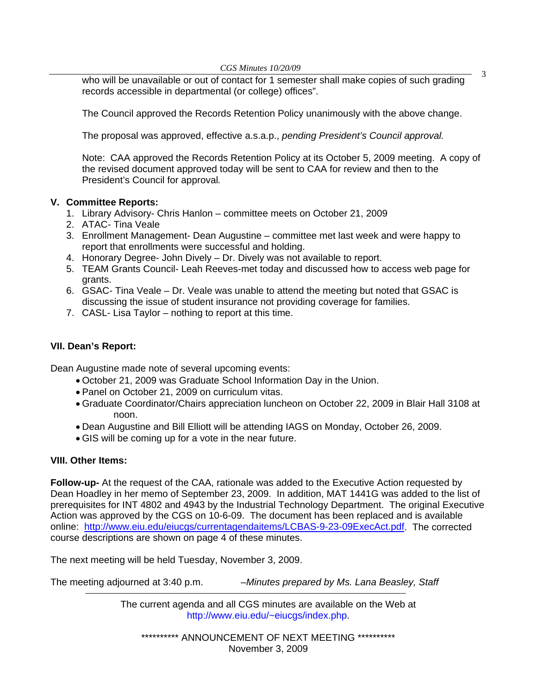*CGS Minutes 10/20/09*<br>who will be unavailable or out of contact for 1 semester shall make copies of such grading records accessible in departmental (or college) offices".

The Council approved the Records Retention Policy unanimously with the above change.

The proposal was approved, effective a.s.a.p., *pending President's Council approval.* 

 Note: CAA approved the Records Retention Policy at its October 5, 2009 meeting. A copy of the revised document approved today will be sent to CAA for review and then to the President's Council for approval*.* 

# **V. Committee Reports:**

- 1. Library Advisory- Chris Hanlon committee meets on October 21, 2009
- 2. ATAC- Tina Veale
- 3. Enrollment Management- Dean Augustine committee met last week and were happy to report that enrollments were successful and holding.
- 4. Honorary Degree- John Dively Dr. Dively was not available to report.
- 5. TEAM Grants Council- Leah Reeves-met today and discussed how to access web page for grants.
- 6. GSAC- Tina Veale Dr. Veale was unable to attend the meeting but noted that GSAC is discussing the issue of student insurance not providing coverage for families.
- 7. CASL- Lisa Taylor nothing to report at this time.

# **VII. Dean's Report:**

Dean Augustine made note of several upcoming events:

- October 21, 2009 was Graduate School Information Day in the Union.
- Panel on October 21, 2009 on curriculum vitas.
- Graduate Coordinator/Chairs appreciation luncheon on October 22, 2009 in Blair Hall 3108 at noon.
- Dean Augustine and Bill Elliott will be attending IAGS on Monday, October 26, 2009.
- GIS will be coming up for a vote in the near future.

# **VIII. Other Items:**

**Follow-up-** At the request of the CAA, rationale was added to the Executive Action requested by Dean Hoadley in her memo of September 23, 2009. In addition, MAT 1441G was added to the list of prerequisites for INT 4802 and 4943 by the Industrial Technology Department. The original Executive Action was approved by the CGS on 10-6-09. The document has been replaced and is available online: http://www.eiu.edu/eiucgs/currentagendaitems/LCBAS-9-23-09ExecAct.pdf. The corrected course descriptions are shown on page 4 of these minutes.

The next meeting will be held Tuesday, November 3, 2009.

The meeting adjourned at 3:40 p.m. *–Minutes prepared by Ms. Lana Beasley, Staff* 

The current agenda and all CGS minutes are available on the Web at http://www.eiu.edu/~eiucgs/index.php.

\*\*\*\*\*\*\*\*\*\* ANNOUNCEMENT OF NEXT MEETING \*\*\*\*\*\*\*\*\*\*\* November 3, 2009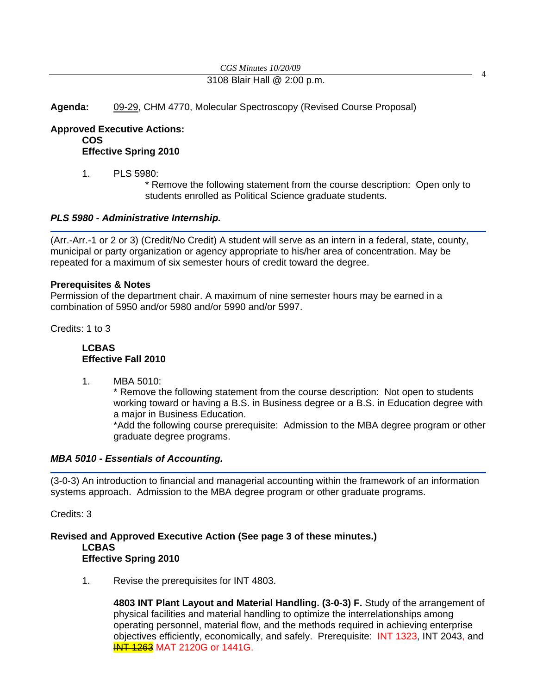# *CGS Minutes 10/20/09*<br>3108 Blair Hall @ 2:00 p.m.

**Agenda:** [09-29, C](http://www.eiu.edu/~eiucgs/currentagendaitems/agenda09-29.pdf)HM 4770, Molecular Spectroscopy (Revised Course Proposal)

**Approved Executive Actions:**

**COS** 

**Effective Spring 2010** 

1. PLS 5980:

 \* Remove the following statement from the course description: Open only to students enrolled as Political Science graduate students.

# *PLS 5980 - Administrative Internship.*

(Arr.-Arr.-1 or 2 or 3) (Credit/No Credit) A student will serve as an intern in a federal, state, county, municipal or party organization or agency appropriate to his/her area of concentration. May be repeated for a maximum of six semester hours of credit toward the degree.

# **Prerequisites & Notes**

Permission of the department chair. A maximum of nine semester hours may be earned in a combination of 5950 and/or 5980 and/or 5990 and/or 5997.

Credits: 1 to 3

# **LCBAS Effective Fall 2010**

1. MBA 5010:

\* Remove the following statement from the course description: Not open to students working toward or having a B.S. in Business degree or a B.S. in Education degree with a major in Business Education.

\*Add the following course prerequisite: Admission to the MBA degree program or other graduate degree programs.

# *MBA 5010 - Essentials of Accounting.*

(3-0-3) An introduction to financial and managerial accounting within the framework of an information systems approach. Admission to the MBA degree program or other graduate programs.

Credits: 3

# **Revised and Approved Executive Action (See page 3 of these minutes.) LCBAS Effective Spring 2010**

1. Revise the prerequisites for INT 4803.

**4803 INT Plant Layout and Material Handling. (3-0-3) F.** Study of the arrangement of physical facilities and material handling to optimize the interrelationships among operating personnel, material flow, and the methods required in achieving enterprise objectives efficiently, economically, and safely. Prerequisite: INT 1323, INT 2043, and **INT 1263** MAT 2120G or 1441G.